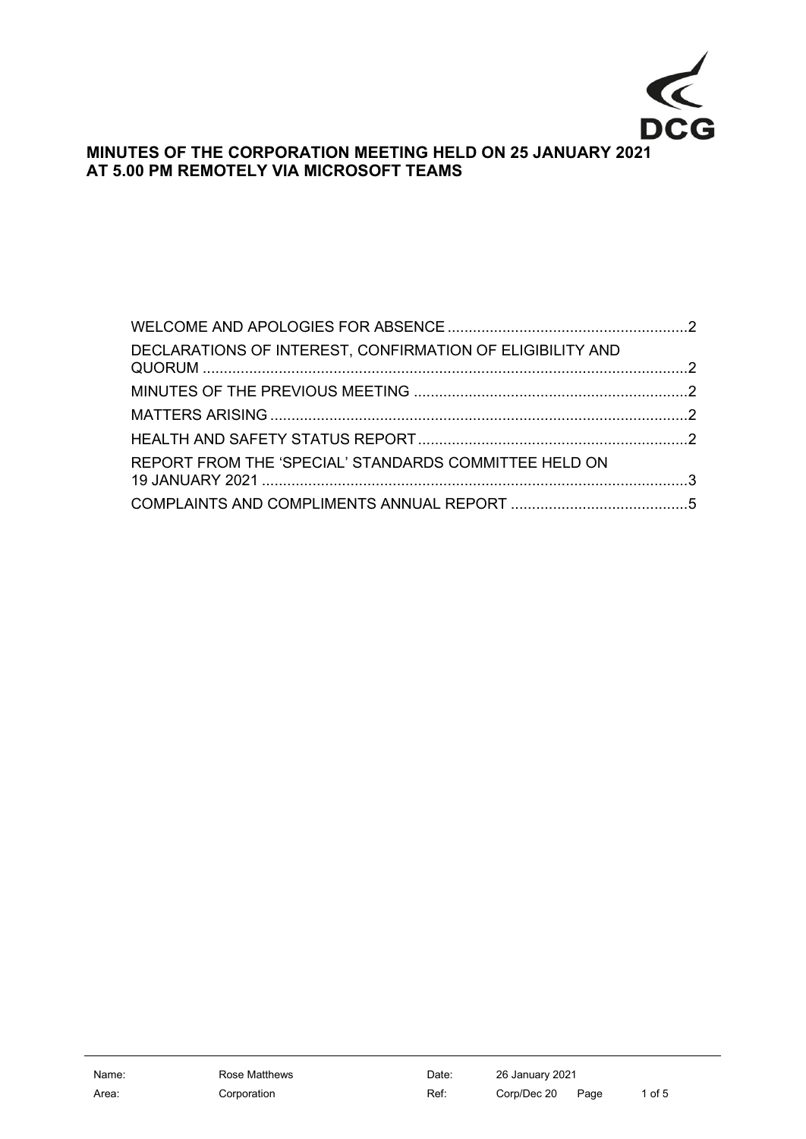

# **MINUTES OF THE CORPORATION MEETING HELD ON 25 JANUARY 2021 AT 5.00 PM REMOTELY VIA MICROSOFT TEAMS**

| DECLARATIONS OF INTEREST, CONFIRMATION OF ELIGIBILITY AND |  |
|-----------------------------------------------------------|--|
|                                                           |  |
|                                                           |  |
|                                                           |  |
| REPORT FROM THE 'SPECIAL' STANDARDS COMMITTEE HELD ON     |  |
|                                                           |  |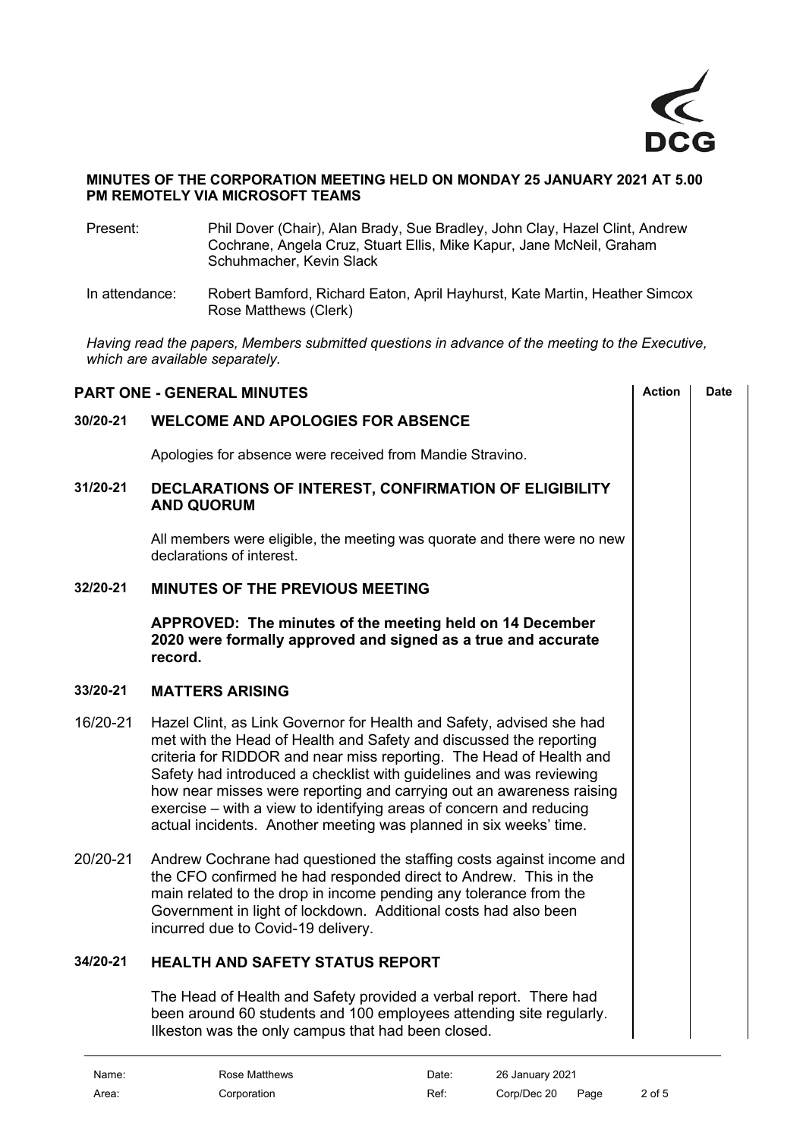

#### **MINUTES OF THE CORPORATION MEETING HELD ON MONDAY 25 JANUARY 2021 AT 5.00 PM REMOTELY VIA MICROSOFT TEAMS**

- Present: Phil Dover (Chair), Alan Brady, Sue Bradley, John Clay, Hazel Clint, Andrew Cochrane, Angela Cruz, Stuart Ellis, Mike Kapur, Jane McNeil, Graham Schuhmacher, Kevin Slack
- In attendance: Robert Bamford, Richard Eaton, April Hayhurst, Kate Martin, Heather Simcox Rose Matthews (Clerk)

*Having read the papers, Members submitted questions in advance of the meeting to the Executive, which are available separately.*

<span id="page-1-4"></span><span id="page-1-3"></span><span id="page-1-2"></span><span id="page-1-1"></span><span id="page-1-0"></span>

| <b>PART ONE - GENERAL MINUTES</b> | <b>Action</b>                                                                                                                                                                                                                                                                                                                                                                                                                                                                                                | Date |  |
|-----------------------------------|--------------------------------------------------------------------------------------------------------------------------------------------------------------------------------------------------------------------------------------------------------------------------------------------------------------------------------------------------------------------------------------------------------------------------------------------------------------------------------------------------------------|------|--|
| 30/20-21                          | <b>WELCOME AND APOLOGIES FOR ABSENCE</b>                                                                                                                                                                                                                                                                                                                                                                                                                                                                     |      |  |
|                                   | Apologies for absence were received from Mandie Stravino.                                                                                                                                                                                                                                                                                                                                                                                                                                                    |      |  |
| 31/20-21                          | DECLARATIONS OF INTEREST, CONFIRMATION OF ELIGIBILITY<br><b>AND QUORUM</b>                                                                                                                                                                                                                                                                                                                                                                                                                                   |      |  |
|                                   | All members were eligible, the meeting was quorate and there were no new<br>declarations of interest.                                                                                                                                                                                                                                                                                                                                                                                                        |      |  |
| 32/20-21                          | MINUTES OF THE PREVIOUS MEETING                                                                                                                                                                                                                                                                                                                                                                                                                                                                              |      |  |
|                                   | APPROVED: The minutes of the meeting held on 14 December<br>2020 were formally approved and signed as a true and accurate<br>record.                                                                                                                                                                                                                                                                                                                                                                         |      |  |
| 33/20-21                          | <b>MATTERS ARISING</b>                                                                                                                                                                                                                                                                                                                                                                                                                                                                                       |      |  |
| 16/20-21                          | Hazel Clint, as Link Governor for Health and Safety, advised she had<br>met with the Head of Health and Safety and discussed the reporting<br>criteria for RIDDOR and near miss reporting. The Head of Health and<br>Safety had introduced a checklist with guidelines and was reviewing<br>how near misses were reporting and carrying out an awareness raising<br>exercise – with a view to identifying areas of concern and reducing<br>actual incidents. Another meeting was planned in six weeks' time. |      |  |
| 20/20-21                          | Andrew Cochrane had questioned the staffing costs against income and<br>the CFO confirmed he had responded direct to Andrew. This in the<br>main related to the drop in income pending any tolerance from the<br>Government in light of lockdown. Additional costs had also been<br>incurred due to Covid-19 delivery.                                                                                                                                                                                       |      |  |
| 34/20-21                          | <b>HEALTH AND SAFETY STATUS REPORT</b>                                                                                                                                                                                                                                                                                                                                                                                                                                                                       |      |  |
|                                   | The Head of Health and Safety provided a verbal report. There had<br>been around 60 students and 100 employees attending site regularly.<br>Ilkeston was the only campus that had been closed.                                                                                                                                                                                                                                                                                                               |      |  |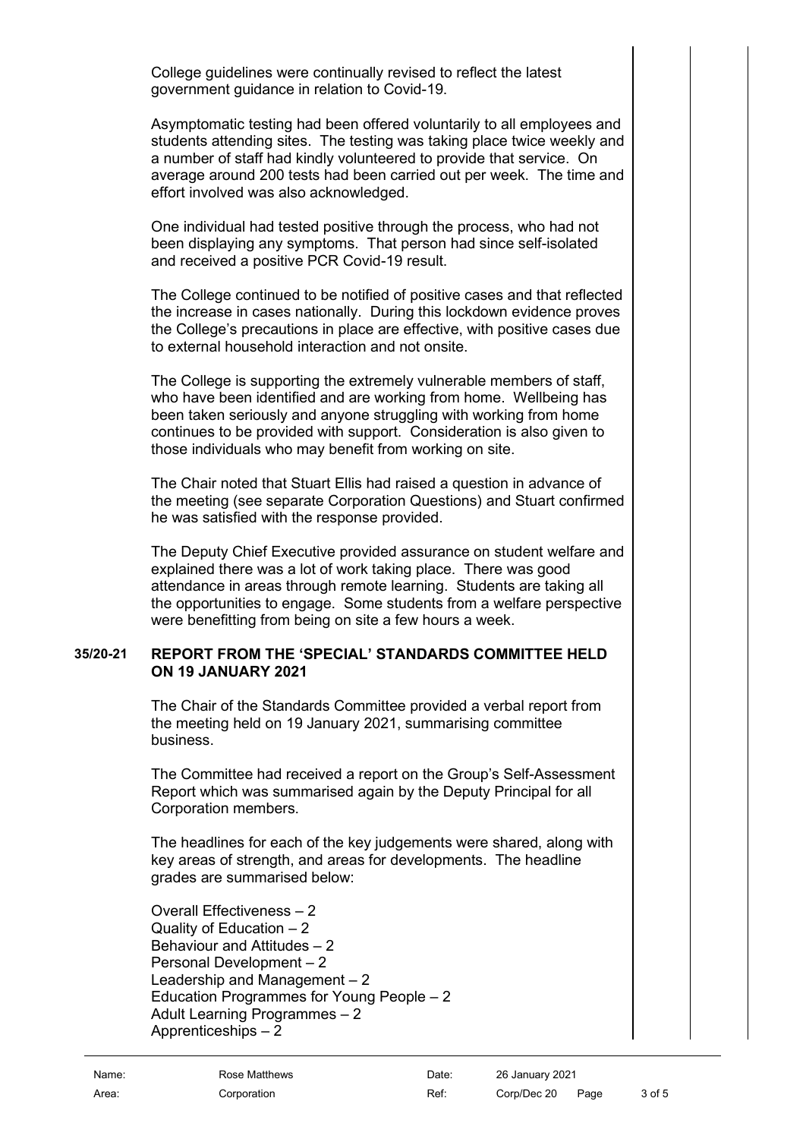College guidelines were continually revised to reflect the latest government guidance in relation to Covid-19.

Asymptomatic testing had been offered voluntarily to all employees and students attending sites. The testing was taking place twice weekly and a number of staff had kindly volunteered to provide that service. On average around 200 tests had been carried out per week. The time and effort involved was also acknowledged.

One individual had tested positive through the process, who had not been displaying any symptoms. That person had since self-isolated and received a positive PCR Covid-19 result.

The College continued to be notified of positive cases and that reflected the increase in cases nationally. During this lockdown evidence proves the College's precautions in place are effective, with positive cases due to external household interaction and not onsite.

The College is supporting the extremely vulnerable members of staff, who have been identified and are working from home. Wellbeing has been taken seriously and anyone struggling with working from home continues to be provided with support. Consideration is also given to those individuals who may benefit from working on site.

The Chair noted that Stuart Ellis had raised a question in advance of the meeting (see separate Corporation Questions) and Stuart confirmed he was satisfied with the response provided.

The Deputy Chief Executive provided assurance on student welfare and explained there was a lot of work taking place. There was good attendance in areas through remote learning. Students are taking all the opportunities to engage. Some students from a welfare perspective were benefitting from being on site a few hours a week.

### **35/20-21 REPORT FROM THE 'SPECIAL' STANDARDS COMMITTEE HELD ON 19 JANUARY 2021**

<span id="page-2-0"></span>The Chair of the Standards Committee provided a verbal report from the meeting held on 19 January 2021, summarising committee business.

The Committee had received a report on the Group's Self-Assessment Report which was summarised again by the Deputy Principal for all Corporation members.

The headlines for each of the key judgements were shared, along with key areas of strength, and areas for developments. The headline grades are summarised below:

Overall Effectiveness – 2 Quality of Education  $-2$ Behaviour and Attitudes – 2 Personal Development – 2 Leadership and Management – 2 Education Programmes for Young People – 2 Adult Learning Programmes – 2 Apprenticeships – 2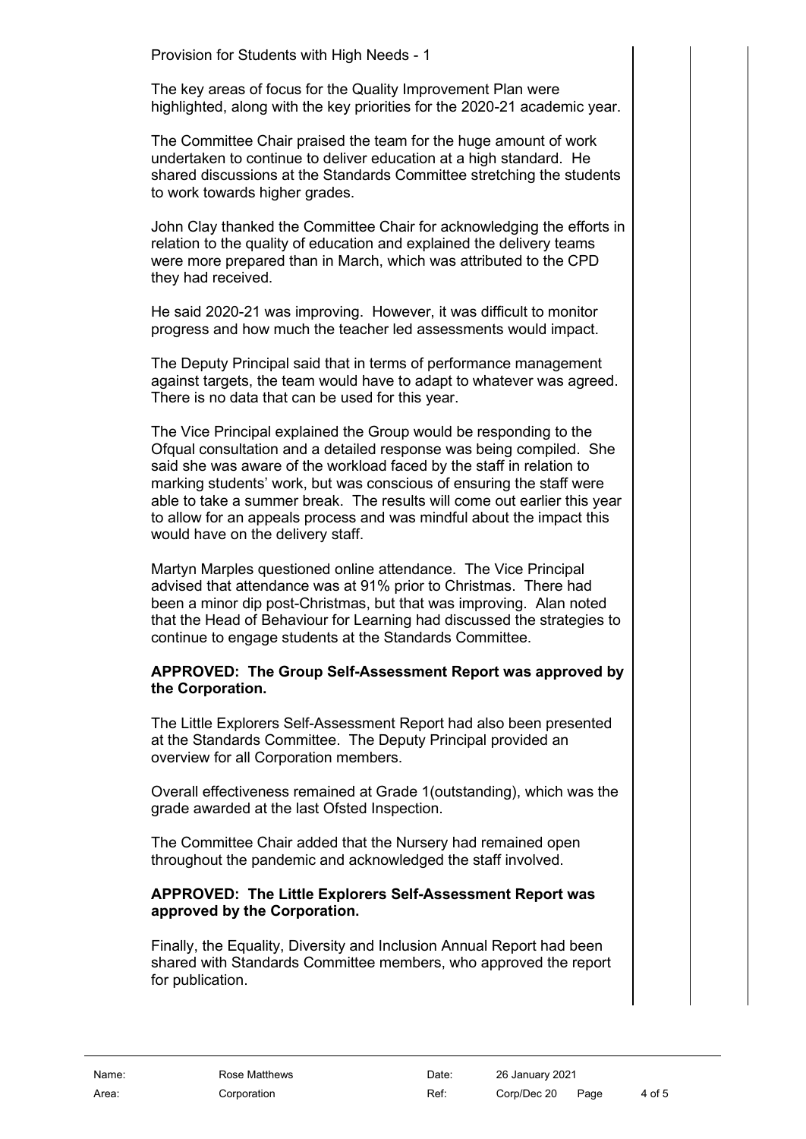Provision for Students with High Needs - 1

The key areas of focus for the Quality Improvement Plan were highlighted, along with the key priorities for the 2020-21 academic year.

The Committee Chair praised the team for the huge amount of work undertaken to continue to deliver education at a high standard. He shared discussions at the Standards Committee stretching the students to work towards higher grades.

John Clay thanked the Committee Chair for acknowledging the efforts in relation to the quality of education and explained the delivery teams were more prepared than in March, which was attributed to the CPD they had received.

He said 2020-21 was improving. However, it was difficult to monitor progress and how much the teacher led assessments would impact.

The Deputy Principal said that in terms of performance management against targets, the team would have to adapt to whatever was agreed. There is no data that can be used for this year.

The Vice Principal explained the Group would be responding to the Ofqual consultation and a detailed response was being compiled. She said she was aware of the workload faced by the staff in relation to marking students' work, but was conscious of ensuring the staff were able to take a summer break. The results will come out earlier this year to allow for an appeals process and was mindful about the impact this would have on the delivery staff.

Martyn Marples questioned online attendance. The Vice Principal advised that attendance was at 91% prior to Christmas. There had been a minor dip post-Christmas, but that was improving. Alan noted that the Head of Behaviour for Learning had discussed the strategies to continue to engage students at the Standards Committee.

### **APPROVED: The Group Self-Assessment Report was approved by the Corporation.**

The Little Explorers Self-Assessment Report had also been presented at the Standards Committee. The Deputy Principal provided an overview for all Corporation members.

Overall effectiveness remained at Grade 1(outstanding), which was the grade awarded at the last Ofsted Inspection.

The Committee Chair added that the Nursery had remained open throughout the pandemic and acknowledged the staff involved.

# **APPROVED: The Little Explorers Self-Assessment Report was approved by the Corporation.**

Finally, the Equality, Diversity and Inclusion Annual Report had been shared with Standards Committee members, who approved the report for publication.